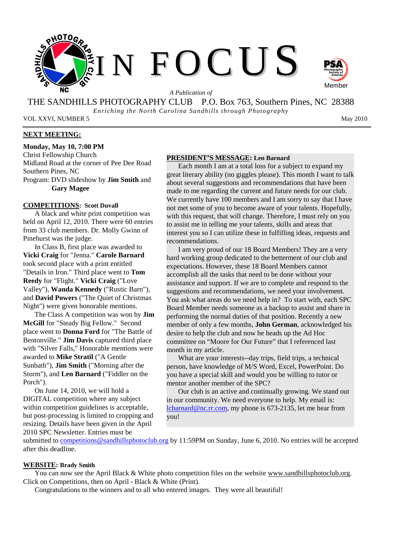



THE SANDHILLS PHOTOGRAPHY CLUB P.O. Box 763, Southern Pines, NC 28388 *Enriching the North Carolina Sandhills through Photography* 

VOL XXVI, NUMBER 5 May 2010

# **NEXT MEETING:**

**Monday, May 10, 7:00 PM** 

Christ Fellowship Church Midland Road at the corner of Pee Dee Road Southern Pines, NC

Program: DVD slideshow by **Jim Smith** and **Gary Magee**

## **COMPETITIONS: Scott Duvall**

A black and white print competition was held on April 12, 2010. There were 60 entries from 33 club members. Dr. Molly Gwinn of Pinehurst was the judge.

In Class B, first place was awarded to **Vicki Craig** for "Jenna." **Carole Barnard** took second place with a print entitled "Details in Iron." Third place went to **Tom Reedy** for "Flight." **Vicki Craig** ("Love Valley"), **Wanda Kennedy** ("Rustic Barn"), and **David Powers** ("The Quiet of Christmas Night") were given honorable mentions.

The Class A competition was won by **Jim McGill** for "Steady Big Fellow." Second place went to **Donna Ford** for "The Battle of Bentonville." **Jim Davis** captured third place with "Silver Falls," Honorable mentions were awarded to **Mike Stratil** ("A Gentle Sunbath"), **Jim Smith** ("Morning after the Storm"), and **Len Barnard** ("Fiddler on the Porch").

On June 14, 2010, we will hold a DIGITAL competition where any subject within competition guidelines is acceptable, but post-processing is limited to cropping and resizing. Details have been given in the April 2010 SPC Newsletter. Entries must be

#### **PRESIDENT'S MESSAGE: Len Barnard**

Each month I am at a total loss for a subject to expand my great literary ability (no giggles please). This month I want to talk about several suggestions and recommendations that have been made to me regarding the current and future needs for our club. We currently have 100 members and I am sorry to say that I have not met some of you to become aware of your talents. Hopefully, with this request, that will change. Therefore, I must rely on you to assist me in telling me your talents, skills and areas that interest you so I can utilize these in fulfilling ideas, requests and recommendations.

I am very proud of our 18 Board Members! They are a very hard working group dedicated to the betterment of our club and expectations. However, these 18 Board Members cannot accomplish all the tasks that need to be done without your assistance and support. If we are to complete and respond to the suggestions and recommendations, we need your involvement. You ask what areas do we need help in? To start with, each SPC Board Member needs someone as a backup to assist and share in performing the normal duties of that position. Recently a new member of only a few months, **John German**, acknowledged his desire to help the club and now he heads up the Ad Hoc committee on "Moore for Our Future" that I referenced last month in my article.

What are your interests--day trips, field trips, a technical person, have knowledge of M/S Word, Excel, PowerPoint. Do you have a special skill and would you be willing to tutor or mentor another member of the SPC?

Our club is an active and continually growing. We stand out in our community. We need everyone to help. My email is: lcbarnard@nc.rr.com, my phone is 673-2135, let me hear from you!

submitted to competitions@sandhillsphotoclub.org by 11:59PM on Sunday, June 6, 2010. No entries will be accepted after this deadline.

#### **WEBSITE: Brady Smith**

You can now see the April Black & White photo competition files on the website www.sandhillsphotoclub.org. Click on Competitions, then on April - Black & White (Print).

Congratulations to the winners and to all who entered images. They were all beautiful!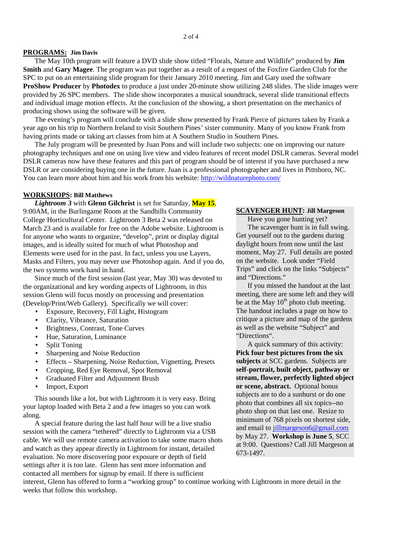### **PROGRAMS: Jim Davis**

The May 10th program will feature a DVD slide show titled "Florals, Nature and Wildlife" produced by **Jim Smith** and **Gary Magee**. The program was put together as a result of a request of the Foxfire Garden Club for the SPC to put on an entertaining slide program for their January 2010 meeting. Jim and Gary used the software **ProShow Producer** by **Photodex** to produce a just under 20-minute show utilizing 248 slides. The slide images were provided by 26 SPC members. The slide show incorporates a musical soundtrack, several slide transitional effects and individual image motion effects. At the conclusion of the showing, a short presentation on the mechanics of producing shows using the software will be given.

The evening's program will conclude with a slide show presented by Frank Pierce of pictures taken by Frank a year ago on his trip to Northern Ireland to visit Southern Pines' sister community. Many of you know Frank from having prints made or taking art classes from him at A Southern Studio in Southern Pines.

The July program will be presented by Juan Pons and will include two subjects: one on improving our nature photography techniques and one on using live view and video features of recent model DSLR cameras. Several model DSLR cameras now have these features and this part of program should be of interest if you have purchased a new DSLR or are considering buying one in the future. Juan is a professional photographer and lives in Pittsboro, NC. You can learn more about him and his work from his website: http://wildnaturephoto.com/

#### **WORKSHOPS: Bill Matthews**

*Lightroom 3* with **Glenn Gilchrist** is set for Saturday, **May 15**, 9:00AM, in the Burlingame Room at the Sandhills Community College Horticultural Center. Lightroom 3 Beta 2 was released on March 23 and is available for free on the Adobe website. Lightroom is for anyone who wants to organize, "develop", print or display digital images, and is ideally suited for much of what Photoshop and Elements were used for in the past. In fact, unless you use Layers, Masks and Filters, you may never use Photoshop again. And if you do, the two systems work hand in hand.

Since much of the first session (last year, May 30) was devoted to the organizational and key wording aspects of Lightroom, in this session Glenn will focus mostly on processing and presentation (Develop/Print/Web Gallery). Specifically we will cover:

- Exposure, Recovery, Fill Light, Histogram
- Clarity, Vibrance, Saturation
- Brightness, Contrast, Tone Curves
- Hue, Saturation, Luminance
- Split Toning
- Sharpening and Noise Reduction
- Effects Sharpening, Noise Reduction, Vignetting, Presets
- Cropping, Red Eye Removal, Spot Removal
- Graduated Filter and Adjustment Brush
- Import, Export

This sounds like a lot, but with Lightroom it is very easy. Bring your laptop loaded with Beta 2 and a few images so you can work along.

A special feature during the last half hour will be a live studio session with the camera "tethered" directly to Lightroom via a USB cable. We will use remote camera activation to take some macro shots and watch as they appear directly in Lightroom for instant, detailed evaluation. No more discovering poor exposure or depth of field settings after it is too late. Glenn has sent more information and contacted all members for signup by email. If there is sufficient

## **SCAVENGER HUNT: Jill Margeson**

Have you gone hunting yet? The scavenger hunt is in full swing. Get yourself out to the gardens during daylight hours from now until the last moment, May 27. Full details are posted on the website. Look under "Field Trips" and click on the links "Subjects" and "Directions."

If you missed the handout at the last meeting, there are some left and they will be at the May  $10^{th}$  photo club meeting. The handout includes a page on how to critique a picture and map of the gardens as well as the website "Subject" and "Directions".

A quick summary of this activity: **Pick four best pictures from the six subjects** at SCC gardens. Subjects are **self-portrait, built object, pathway or stream, flower, perfectly lighted object or scene, abstract.** Optional bonus subjects are to do a sunburst or do one photo that combines all six topics--no photo shop on that last one. Resize to minimum of 768 pixels on shortest side, and email to jillmargeson6@gmail.com by May 27. **Workshop is June 5**, SCC at 9:00. Questions? Call Jill Margeson at 673-1497.

interest, Glenn has offered to form a "working group" to continue working with Lightroom in more detail in the weeks that follow this workshop.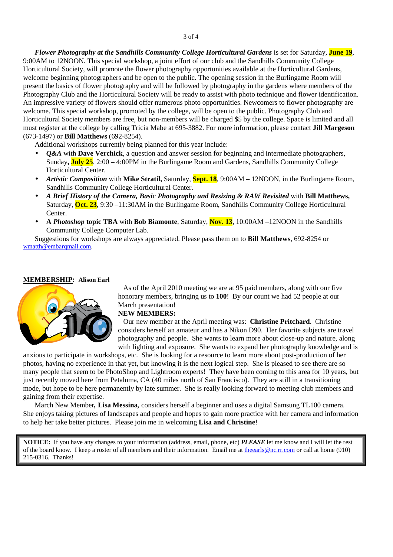*Flower Photography at the Sandhills Community College Horticultural Gardens* is set for Saturday, **June 19**, 9:00AM to 12NOON. This special workshop, a joint effort of our club and the Sandhills Community College Horticultural Society, will promote the flower photography opportunities available at the Horticultural Gardens, welcome beginning photographers and be open to the public. The opening session in the Burlingame Room will present the basics of flower photography and will be followed by photography in the gardens where members of the Photography Club and the Horticultural Society will be ready to assist with photo technique and flower identification. An impressive variety of flowers should offer numerous photo opportunities. Newcomers to flower photography are welcome. This special workshop, promoted by the college, will be open to the public. Photography Club and Horticultural Society members are free, but non-members will be charged \$5 by the college. Space is limited and all must register at the college by calling Tricia Mabe at 695-3882. For more information, please contact **Jill Margeson** (673-1497) or **Bill Matthews** (692-8254).

Additional workshops currently being planned for this year include:

- *Q&A* with **Dave Verchick**, a question and answer session for beginning and intermediate photographers, Sunday**, July 25**, 2:00 – 4:00PM in the Burlingame Room and Gardens, Sandhills Community College Horticultural Center.
- *Artistic Composition* with **Mike Stratil,** Saturday, **Sept. 18**, 9:00AM 12NOON, in the Burlingame Room, Sandhills Community College Horticultural Center.
- *A Brief History of the Camera, Basic Photography and Resizing & RAW Revisited* with **Bill Matthews,**  Saturday, **Oct. 23**, 9:30 –11:30AM in the Burlingame Room, Sandhills Community College Horticultural Center.
- **A** *Photoshop* **topic TBA** with **Bob Biamonte**, Saturday, **Nov. 13**, 10:00AM –12NOON in the Sandhills Community College Computer Lab.

Suggestions for workshops are always appreciated. Please pass them on to **Bill Matthews**, 692-8254 or wmatth@embarqmail.com.

#### **MEMBERSHIP: Alison Earl**



 As of the April 2010 meeting we are at 95 paid members, along with our five honorary members, bringing us to **100**! By our count we had 52 people at our March presentation!

#### **NEW MEMBERS:**

 Our new member at the April meeting was: **Christine Pritchard**. Christine considers herself an amateur and has a Nikon D90. Her favorite subjects are travel photography and people. She wants to learn more about close-up and nature, along with lighting and exposure. She wants to expand her photography knowledge and is

anxious to participate in workshops, etc. She is looking for a resource to learn more about post-production of her photos, having no experience in that yet, but knowing it is the next logical step. She is pleased to see there are so many people that seem to be PhotoShop and Lightroom experts! They have been coming to this area for 10 years, but just recently moved here from Petaluma, CA (40 miles north of San Francisco). They are still in a transitioning mode, but hope to be here permanently by late summer. She is really looking forward to meeting club members and gaining from their expertise.

March New Member*,* **Lisa Messina***,* considers herself a beginner and uses a digital Samsung TL100 camera. She enjoys taking pictures of landscapes and people and hopes to gain more practice with her camera and information to help her take better pictures. Please join me in welcoming **Lisa and Christine**!

**NOTICE:** If you have any changes to your information (address, email, phone, etc) *PLEASE* let me know and I will let the rest of the board know. I keep a roster of all members and their information. Email me at theearls@nc.rr.com or call at home (910) 215-0316. Thanks!